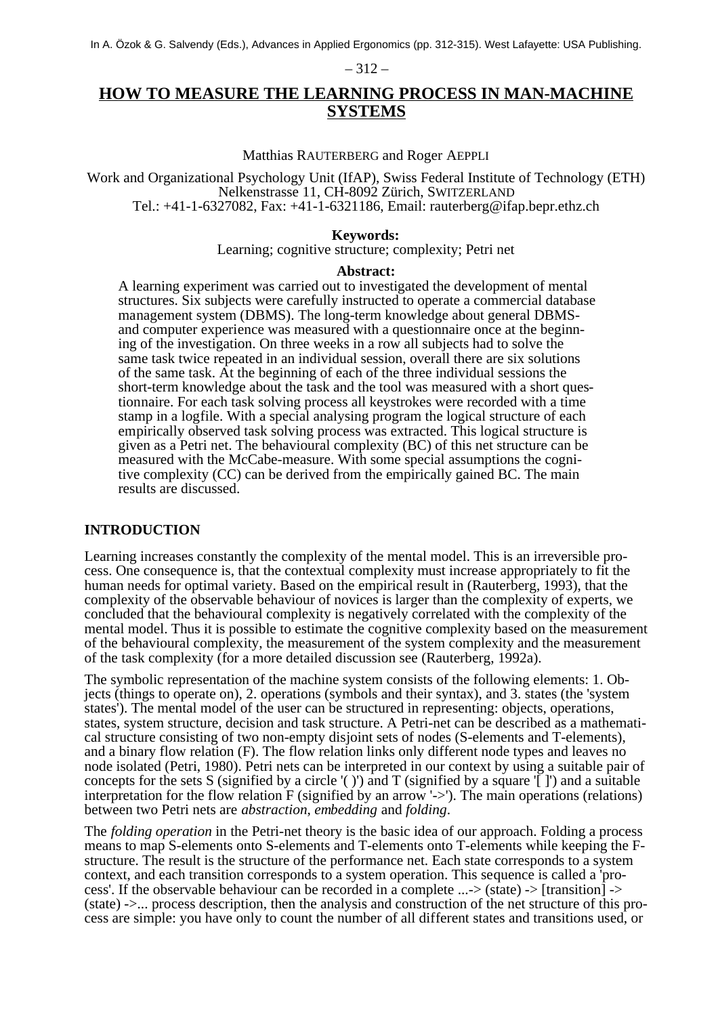$-312-$ 

# **HOW TO MEASURE THE LEARNING PROCESS IN MAN-MACHINE SYSTEMS**

### Matthias RAUTERBERG and Roger AEPPLI

Work and Organizational Psychology Unit (IfAP), Swiss Federal Institute of Technology (ETH) Nelkenstrasse 11, CH-8092 Zürich, SWITZERLAND Tel.: +41-1-6327082, Fax: +41-1-6321186, Email: rauterberg@ifap.bepr.ethz.ch

#### **Keywords:**

Learning; cognitive structure; complexity; Petri net

#### **Abstract:**

A learning experiment was carried out to investigated the development of mental structures. Six subjects were carefully instructed to operate a commercial database management system (DBMS). The long-term knowledge about general DBMSand computer experience was measured with a questionnaire once at the beginning of the investigation. On three weeks in a row all subjects had to solve the same task twice repeated in an individual session, overall there are six solutions of the same task. At the beginning of each of the three individual sessions the short-term knowledge about the task and the tool was measured with a short questionnaire. For each task solving process all keystrokes were recorded with a time stamp in a logfile. With a special analysing program the logical structure of each empirically observed task solving process was extracted. This logical structure is given as a Petri net. The behavioural complexity (BC) of this net structure can be measured with the McCabe-measure. With some special assumptions the cognitive complexity (CC) can be derived from the empirically gained BC. The main results are discussed.

### **INTRODUCTION**

Learning increases constantly the complexity of the mental model. This is an irreversible process. One consequence is, that the contextual complexity must increase appropriately to fit the human needs for optimal variety. Based on the empirical result in (Rauterberg, 1993), that the complexity of the observable behaviour of novices is larger than the complexity of experts, we concluded that the behavioural complexity is negatively correlated with the complexity of the mental model. Thus it is possible to estimate the cognitive complexity based on the measurement of the behavioural complexity, the measurement of the system complexity and the measurement of the task complexity (for a more detailed discussion see (Rauterberg, 1992a).

The symbolic representation of the machine system consists of the following elements: 1. Objects (things to operate on), 2. operations (symbols and their syntax), and 3. states (the 'system states'). The mental model of the user can be structured in representing: objects, operations, states, system structure, decision and task structure. A Petri-net can be described as a mathematical structure consisting of two non-empty disjoint sets of nodes (S-elements and T-elements), and a binary flow relation (F). The flow relation links only different node types and leaves no node isolated (Petri, 1980). Petri nets can be interpreted in our context by using a suitable pair of concepts for the sets S (signified by a circle '( )') and T (signified by a square  $\lceil \cdot \rceil$ ') and a suitable interpretation for the flow relation F (signified by an arrow '->'). The main operations (relations) between two Petri nets are *abstraction*, *embedding* and *folding*.

The *folding operation* in the Petri-net theory is the basic idea of our approach. Folding a process means to map S-elements onto S-elements and T-elements onto T-elements while keeping the Fstructure. The result is the structure of the performance net. Each state corresponds to a system context, and each transition corresponds to a system operation. This sequence is called a 'process'. If the observable behaviour can be recorded in a complete ...-> (state) -> [transition] -> (state) ->... process description, then the analysis and construction of the net structure of this process are simple: you have only to count the number of all different states and transitions used, or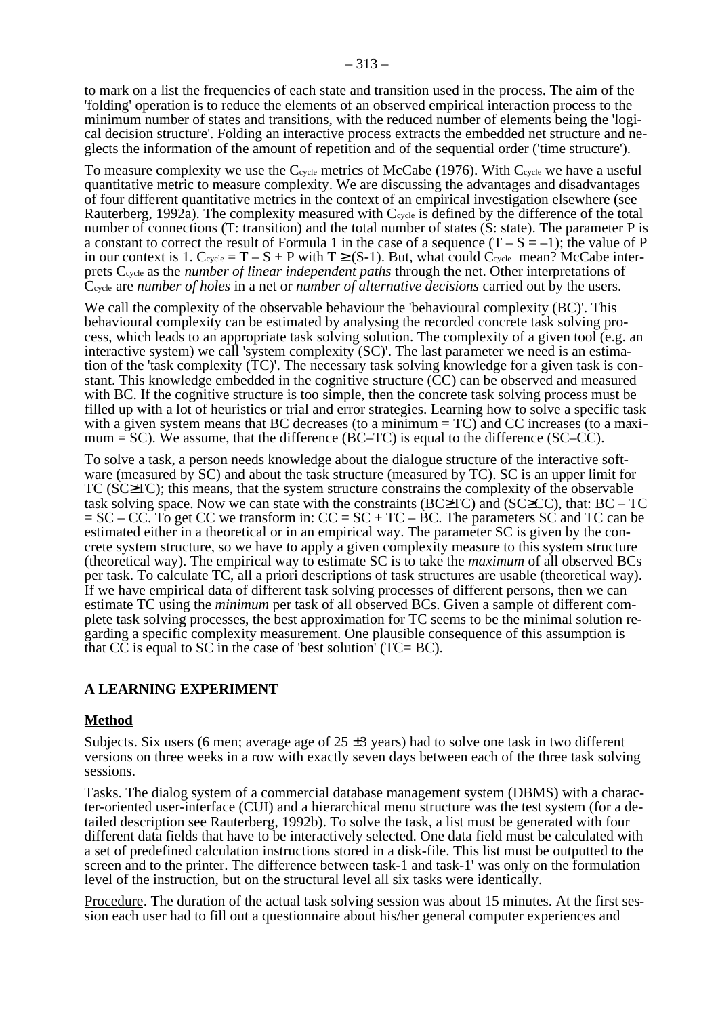to mark on a list the frequencies of each state and transition used in the process. The aim of the 'folding' operation is to reduce the elements of an observed empirical interaction process to the minimum number of states and transitions, with the reduced number of elements being the 'logical decision structure'. Folding an interactive process extracts the embedded net structure and neglects the information of the amount of repetition and of the sequential order ('time structure').

To measure complexity we use the C<sub>cycle</sub> metrics of McCabe (1976). With C<sub>cycle</sub> we have a useful quantitative metric to measure complexity. We are discussing the advantages and disadvantages of four different quantitative metrics in the context of an empirical investigation elsewhere (see Rauterberg, 1992a). The complexity measured with C<sub>cycle</sub> is defined by the difference of the total number of connections (T: transition) and the total number of states (S: state). The parameter P is a constant to correct the result of Formula 1 in the case of a sequence  $(T - S = -1)$ ; the value of P in our context is 1.  $C_{cycle} = T - S + P$  with  $T \ge (S-1)$ . But, what could  $C_{cycle}$  mean? McCabe interprets Ccycle as the *number of linear independent paths* through the net. Other interpretations of Ccycle are *number of holes* in a net or *number of alternative decisions* carried out by the users.

We call the complexity of the observable behaviour the 'behavioural complexity (BC)'. This behavioural complexity can be estimated by analysing the recorded concrete task solving process, which leads to an appropriate task solving solution. The complexity of a given tool (e.g. an interactive system) we call 'system complexity (SC)'. The last parameter we need is an estimation of the 'task complexity (TC)'. The necessary task solving knowledge for a given task is constant. This knowledge embedded in the cognitive structure (CC) can be observed and measured with BC. If the cognitive structure is too simple, then the concrete task solving process must be filled up with a lot of heuristics or trial and error strategies. Learning how to solve a specific task with a given system means that BC decreases (to a minimum  $= TC$ ) and CC increases (to a maximum  $=$  SC). We assume, that the difference (BC–TC) is equal to the difference (SC–CC).

To solve a task, a person needs knowledge about the dialogue structure of the interactive software (measured by SC) and about the task structure (measured by TC). SC is an upper limit for TC (SC≥TC); this means, that the system structure constrains the complexity of the observable task solving space. Now we can state with the constraints ( $BC \geq TC$ ) and ( $SC \geq CC$ ), that:  $BC - TC$  $=$  SC – CC. To get CC we transform in: CC = SC + TC – BC. The parameters SC and TC can be estimated either in a theoretical or in an empirical way. The parameter SC is given by the concrete system structure, so we have to apply a given complexity measure to this system structure (theoretical way). The empirical way to estimate SC is to take the *maximum* of all observed BCs per task. To calculate TC, all a priori descriptions of task structures are usable (theoretical way). If we have empirical data of different task solving processes of different persons, then we can estimate TC using the *minimum* per task of all observed BCs. Given a sample of different complete task solving processes, the best approximation for TC seems to be the minimal solution regarding a specific complexity measurement. One plausible consequence of this assumption is that CC is equal to SC in the case of 'best solution' (TC= BC).

## **A LEARNING EXPERIMENT**

## **Method**

Subjects. Six users (6 men; average age of  $25 \pm 3$  years) had to solve one task in two different versions on three weeks in a row with exactly seven days between each of the three task solving sessions.

Tasks. The dialog system of a commercial database management system (DBMS) with a character-oriented user-interface (CUI) and a hierarchical menu structure was the test system (for a detailed description see Rauterberg, 1992b). To solve the task, a list must be generated with four different data fields that have to be interactively selected. One data field must be calculated with a set of predefined calculation instructions stored in a disk-file. This list must be outputted to the screen and to the printer. The difference between task-1 and task-1' was only on the formulation level of the instruction, but on the structural level all six tasks were identically.

Procedure. The duration of the actual task solving session was about 15 minutes. At the first session each user had to fill out a questionnaire about his/her general computer experiences and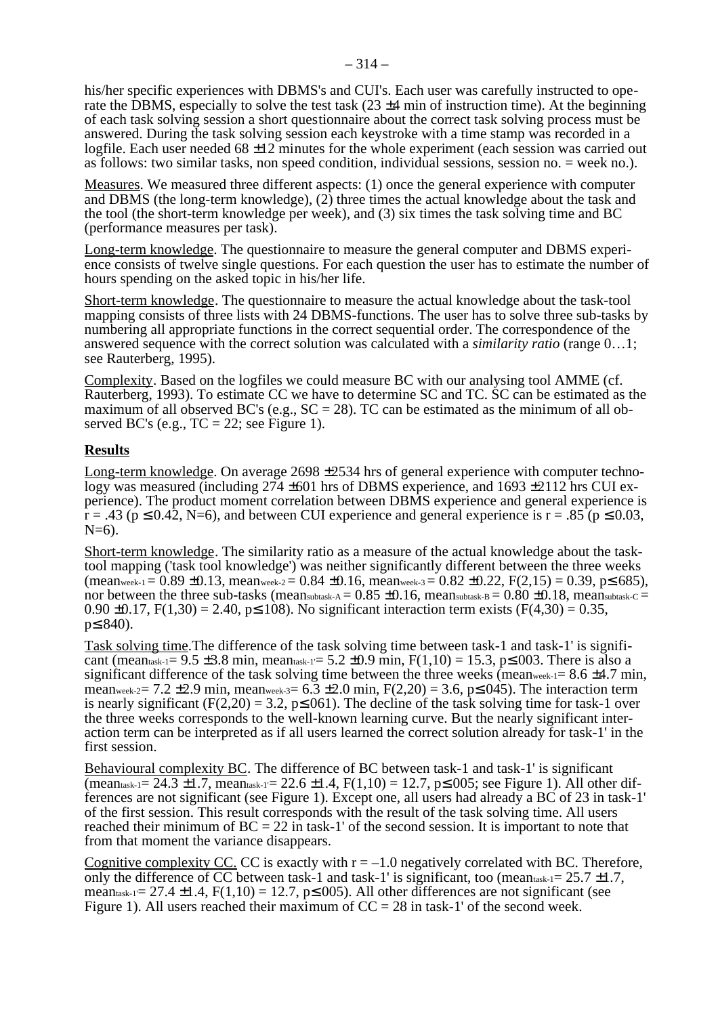his/her specific experiences with DBMS's and CUI's. Each user was carefully instructed to operate the DBMS, especially to solve the test task  $(23 \pm 4 \text{ min of instruction time})$ . At the beginning of each task solving session a short questionnaire about the correct task solving process must be answered. During the task solving session each keystroke with a time stamp was recorded in a logfile. Each user needed  $68 \pm 12$  minutes for the whole experiment (each session was carried out as follows: two similar tasks, non speed condition, individual sessions, session no. = week no.).

Measures. We measured three different aspects: (1) once the general experience with computer and DBMS (the long-term knowledge), (2) three times the actual knowledge about the task and the tool (the short-term knowledge per week), and (3) six times the task solving time and BC (performance measures per task).

Long-term knowledge. The questionnaire to measure the general computer and DBMS experience consists of twelve single questions. For each question the user has to estimate the number of hours spending on the asked topic in his/her life.

Short-term knowledge. The questionnaire to measure the actual knowledge about the task-tool mapping consists of three lists with 24 DBMS-functions. The user has to solve three sub-tasks by numbering all appropriate functions in the correct sequential order. The correspondence of the answered sequence with the correct solution was calculated with a *similarity ratio* (range 0…1; see Rauterberg, 1995).

Complexity. Based on the logfiles we could measure BC with our analysing tool AMME (cf. Rauterberg, 1993). To estimate CC we have to determine SC and TC. SC can be estimated as the maximum of all observed BC's (e.g.,  $SC = 28$ ). TC can be estimated as the minimum of all observed BC's (e.g.,  $TC = 22$ ; see Figure 1).

## **Results**

Long-term knowledge. On average 2698 ±2534 hrs of general experience with computer technology was measured (including  $274 \pm 601$  hrs of DBMS experience, and  $1693 \pm 2112$  hrs CUI experience). The product moment correlation between DBMS experience and general experience is  $r = .43$  ( $p \le 0.42$ , N=6), and between CUI experience and general experience is  $r = .85$  ( $p \le 0.03$ ,  $N=6$ ).

Short-term knowledge. The similarity ratio as a measure of the actual knowledge about the tasktool mapping ('task tool knowledge') was neither significantly different between the three weeks  $(\text{mean}_{\text{week-1}} = 0.89 \pm 0.13, \text{ mean}_{\text{week-2}} = 0.84 \pm 0.16, \text{ mean}_{\text{week-3}} = 0.82 \pm 0.22, F(2,15) = 0.39, p \le 685),$ nor between the three sub-tasks (meansubtask-A =  $0.85 \pm 0.16$ , meansubtask-B =  $0.80 \pm 0.18$ , meansubtask-C = 0.90  $\pm$ 0.17, F(1,30) = 2.40, p $\leq$ .108). No significant interaction term exists (F(4,30) = 0.35, p≤.840).

Task solving time.The difference of the task solving time between task-1 and task-1' is significant (meantask-1= 9.5 ±3.8 min, meantask-1= 5.2 ±0.9 min,  $F(1,10) = 15.3$ , p $\leq$ .003. There is also a significant difference of the task solving time between the three weeks (meanweek-1=  $8.6 \pm 4.7 \text{ min}$ , meanweek-2= 7.2 ± 2.9 min, meanweek-3=  $6.\overline{3}$  ± 2.0 min, F(2,20) = 3.6, p ≤ 0.45). The interaction term is nearly significant (F(2,20) = 3.2,  $p\leq 0.061$ ). The decline of the task solving time for task-1 over the three weeks corresponds to the well-known learning curve. But the nearly significant interaction term can be interpreted as if all users learned the correct solution already for task-1' in the first session.

Behavioural complexity BC. The difference of BC between task-1 and task-1' is significant (meantask-1= 24.3 ±1.7, meantask-1'= 22.6 ±1.4, F(1,10) = 12.7, p \(005; see Figure 1). All other differences are not significant (see Figure 1). Except one, all users had already a BC of 23 in task-1' of the first session. This result corresponds with the result of the task solving time. All users reached their minimum of  $BC = 22$  in task-1' of the second session. It is important to note that from that moment the variance disappears.

Cognitive complexity CC. CC is exactly with  $r = -1.0$  negatively correlated with BC. Therefore, only the difference of CC between task-1 and task-1' is significant, too (meantask-1=  $25.7 \pm 1.7$ , meantask-1= 27.4 ±1.4,  $F(1,10) = 12.7$ , p $\leq$ .005). All other differences are not significant (see Figure 1). All users reached their maximum of  $CC = 28$  in task-1' of the second week.